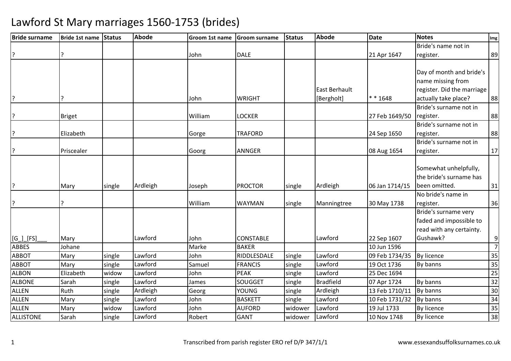| <b>Bride surname</b> | Bride 1st name Status |        | <b>Abode</b> | Groom 1st name | <b>Groom surname</b> | <b>Status</b> | <b>Abode</b>         | <b>Date</b>    | <b>Notes</b>               | Img             |
|----------------------|-----------------------|--------|--------------|----------------|----------------------|---------------|----------------------|----------------|----------------------------|-----------------|
|                      |                       |        |              |                |                      |               |                      |                | Bride's name not in        |                 |
| ?                    |                       |        |              | John           | <b>DALE</b>          |               |                      | 21 Apr 1647    | register.                  | 89              |
|                      |                       |        |              |                |                      |               |                      |                |                            |                 |
|                      |                       |        |              |                |                      |               |                      |                | Day of month and bride's   |                 |
|                      |                       |        |              |                |                      |               |                      |                | name missing from          |                 |
|                      |                       |        |              |                |                      |               | <b>East Berhault</b> |                | register. Did the marriage |                 |
| ?                    | ς                     |        |              | John           | <b>WRIGHT</b>        |               | [Bergholt]           | * * 1648       | actually take place?       | 88              |
|                      |                       |        |              |                |                      |               |                      |                | Bride's surname not in     |                 |
| ?                    | <b>Briget</b>         |        |              | William        | LOCKER               |               |                      | 27 Feb 1649/50 | register.                  | 88              |
|                      |                       |        |              |                |                      |               |                      |                | Bride's surname not in     |                 |
| ?                    | Elizabeth             |        |              | Gorge          | <b>TRAFORD</b>       |               |                      | 24 Sep 1650    | register.                  | 88              |
|                      |                       |        |              |                |                      |               |                      |                | Bride's surname not in     |                 |
| P.                   | Priscealer            |        |              | Goorg          | <b>ANNGER</b>        |               |                      | 08 Aug 1654    | register.                  | 17              |
|                      |                       |        |              |                |                      |               |                      |                |                            |                 |
|                      |                       |        |              |                |                      |               |                      |                | Somewhat unhelpfully,      |                 |
|                      |                       |        |              |                |                      |               |                      |                | the bride's surname has    |                 |
| ?                    | Mary                  | single | Ardleigh     | Joseph         | <b>PROCTOR</b>       | single        | Ardleigh             | 06 Jan 1714/15 | been omitted.              | 31              |
|                      |                       |        |              |                |                      |               |                      |                | No bride's name in         |                 |
| ?                    |                       |        |              | William        | <b>WAYMAN</b>        | single        | Manningtree          | 30 May 1738    | register.                  | 36              |
|                      |                       |        |              |                |                      |               |                      |                | Bride's surname very       |                 |
|                      |                       |        |              |                |                      |               |                      |                | faded and impossible to    |                 |
|                      |                       |        |              |                |                      |               |                      |                | read with any certainty.   |                 |
| $[G_\_][FS]$         | Mary                  |        | Lawford      | John           | <b>CONSTABLE</b>     |               | Lawford              | 22 Sep 1607    | Gushawk?                   | 9               |
| <b>ABBES</b>         | Johane                |        |              | Marke          | <b>BAKER</b>         |               |                      | 10 Jun 1596    |                            | $\overline{7}$  |
| <b>ABBOT</b>         | Mary                  | single | Lawford      | John           | RIDDLESDALE          | single        | Lawford              | 09 Feb 1734/35 | <b>By licence</b>          | 35              |
| <b>ABBOT</b>         | Mary                  | single | Lawford      | Samuel         | <b>FRANCIS</b>       | single        | Lawford              | 19 Oct 1736    | By banns                   | 35              |
| <b>ALBON</b>         | Elizabeth             | widow  | Lawford      | John           | PEAK                 | single        | Lawford              | 25 Dec 1694    |                            | $\overline{25}$ |
| <b>ALBONE</b>        | Sarah                 | single | Lawford      | James          | <b>SOUGGET</b>       | single        | <b>Bradfield</b>     | 07 Apr 1724    | By banns                   | 32              |
| <b>ALLEN</b>         | Ruth                  | single | Ardleigh     | Georg          | <b>YOUNG</b>         | single        | Ardleigh             | 13 Feb 1710/11 | By banns                   | 30              |
| <b>ALLEN</b>         | Mary                  | single | Lawford      | John           | <b>BASKETT</b>       | single        | Lawford              | 10 Feb 1731/32 | By banns                   | 34              |
| <b>ALLEN</b>         | Mary                  | widow  | Lawford      | John           | <b>AUFORD</b>        | widower       | Lawford              | 19 Jul 1733    | <b>By licence</b>          | 35              |
| <b>ALLISTONE</b>     | Sarah                 | single | Lawford      | Robert         | <b>GANT</b>          | widower       | Lawford              | 10 Nov 1748    | <b>By licence</b>          | 38              |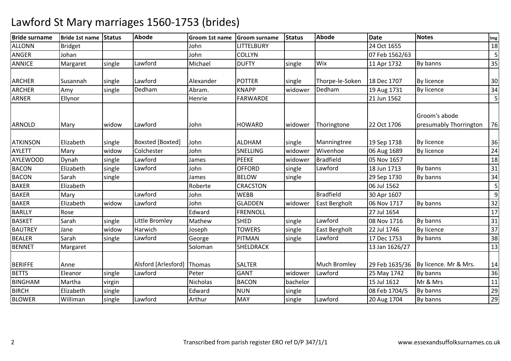| <b>Bride surname</b> | Bride 1st name Status |        | <b>Abode</b>            | Groom 1st name | <b>Groom surname</b> | <b>Status</b> | <b>Abode</b>        | <b>Date</b>    | <b>Notes</b>                            | Img |
|----------------------|-----------------------|--------|-------------------------|----------------|----------------------|---------------|---------------------|----------------|-----------------------------------------|-----|
| <b>ALLONN</b>        | <b>Bridget</b>        |        |                         | John           | LITTELBURY           |               |                     | 24 Oct 1655    |                                         | 18  |
| <b>ANGER</b>         | Johan                 |        |                         | John           | <b>COLLYN</b>        |               |                     | 07 Feb 1562/63 |                                         | 5   |
| <b>ANNICE</b>        | Margaret              | single | Lawford                 | Michael        | <b>DUFTY</b>         | single        | Wix                 | 11 Apr 1732    | By banns                                | 35  |
|                      |                       |        |                         |                |                      |               |                     |                |                                         |     |
| <b>ARCHER</b>        | Susannah              | single | Lawford                 | Alexander      | <b>POTTER</b>        | single        | Thorpe-le-Soken     | 18 Dec 1707    | By licence                              | 30  |
| <b>ARCHER</b>        | Amy                   | single | Dedham                  | Abram.         | <b>KNAPP</b>         | widower       | Dedham              | 19 Aug 1731    | By licence                              | 34  |
| <b>ARNER</b>         | Ellynor               |        |                         | Henrie         | <b>FARWARDE</b>      |               |                     | 21 Jun 1562    |                                         | 5   |
| ARNOLD               | Mary                  | widow  | Lawford                 | John           | <b>HOWARD</b>        | widower       | Thoringtone         | 22 Oct 1706    | Groom's abode<br>presumably Thorrington | 76  |
|                      |                       |        |                         |                |                      |               |                     |                |                                         |     |
| <b>ATKINSON</b>      | Elizabeth             | single | <b>Boxsted [Boxted]</b> | John           | <b>ALDHAM</b>        | single        | Manningtree         | 19 Sep 1738    | By licence                              | 36  |
| <b>AYLETT</b>        | Mary                  | widow  | Colchester              | John           | SNELLING             | widower       | Wivenhoe            | 06 Aug 1689    | By licence                              | 24  |
| <b>AYLEWOOD</b>      | Dynah                 | single | Lawford                 | James          | <b>PEEKE</b>         | widower       | <b>Bradfield</b>    | 05 Nov 1657    |                                         | 18  |
| <b>BACON</b>         | Elizabeth             | single | Lawford                 | John           | <b>OFFORD</b>        | single        | Lawford             | 18 Jun 1713    | By banns                                | 31  |
| <b>BACON</b>         | Sarah                 | single |                         | James          | <b>BELOW</b>         | single        |                     | 29 Sep 1730    | By banns                                | 34  |
| <b>BAKER</b>         | Elizabeth             |        |                         | Roberte        | CRACSTON             |               |                     | 06 Jul 1562    |                                         | 5   |
| <b>BAKER</b>         | Mary                  |        | Lawford                 | John           | <b>WEBB</b>          |               | <b>Bradfield</b>    | 30 Apr 1607    |                                         | 9   |
| <b>BAKER</b>         | Elizabeth             | widow  | Lawford                 | John           | <b>GLADDEN</b>       | widower       | East Bergholt       | 06 Nov 1717    | By banns                                | 32  |
| <b>BARLLY</b>        | Rose                  |        |                         | Edward         | <b>FRENNOLL</b>      |               |                     | 27 Jul 1654    |                                         | 17  |
| <b>BASKET</b>        | Sarah                 | single | Little Bromley          | Mathew         | <b>SHED</b>          | single        | Lawford             | 08 Nov 1716    | By banns                                | 31  |
| <b>BAUTREY</b>       | Jane                  | widow  | Harwich                 | Joseph         | <b>TOWERS</b>        | single        | East Bergholt       | 22 Jul 1746    | By licence                              | 37  |
| <b>BEALER</b>        | Sarah                 | single | Lawford                 | George         | PITMAN               | single        | Lawford             | 17 Dec 1753    | By banns                                | 38  |
| <b>BENNET</b>        | Margaret              |        |                         | Soloman        | <b>SHELDRACK</b>     |               |                     | 13 Jan 1626/27 |                                         | 13  |
| <b>BERIFFE</b>       | Anne                  |        | Alsford [Arlesford]     | Thomas         | <b>SALTER</b>        |               | <b>Much Bromley</b> | 29 Feb 1635/36 | By licence. Mr & Mrs.                   | 14  |
| <b>BETTS</b>         | Eleanor               | single | Lawford                 | Peter          | <b>GANT</b>          | widower       | Lawford             | 25 May 1742    | By banns                                | 36  |
| <b>BINGHAM</b>       | Martha                | virgin |                         | Nicholas       | <b>BACON</b>         | bachelor      |                     | 15 Jul 1612    | Mr & Mrs                                | 11  |
| <b>BIRCH</b>         | Elizabeth             | single |                         | Edward         | <b>NUN</b>           | single        |                     | 08 Feb 1704/5  | By banns                                | 29  |
| <b>BLOWER</b>        | Williman              | single | Lawford                 | Arthur         | <b>MAY</b>           | single        | Lawford             | 20 Aug 1704    | By banns                                | 29  |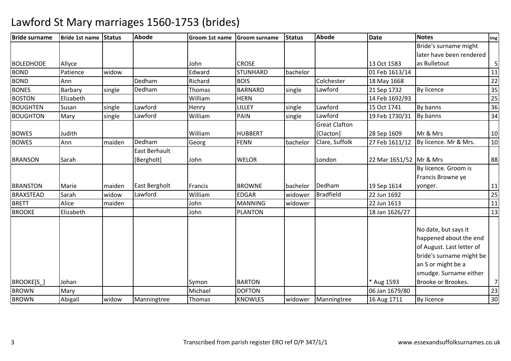| <b>Bride surname</b> | Bride 1st name | <b>Status</b> | <b>Abode</b>  | Groom 1st name | <b>Groom surname</b> | <b>Status</b> | <b>Abode</b>         | <b>Date</b>             | <b>Notes</b>              | Img            |
|----------------------|----------------|---------------|---------------|----------------|----------------------|---------------|----------------------|-------------------------|---------------------------|----------------|
|                      |                |               |               |                |                      |               |                      |                         | Bride's surname might     |                |
|                      |                |               |               |                |                      |               |                      |                         | later have been rendered  |                |
| <b>BOLEDHODE</b>     | Allyce         |               |               | John           | <b>CROSE</b>         |               |                      | 13 Oct 1583             | as Bulletout              | $\overline{5}$ |
| <b>BOND</b>          | Patience       | widow         |               | Edward         | <b>STUNHARD</b>      | bachelor      |                      | 01 Feb 1613/14          |                           | 11             |
| <b>BOND</b>          | Ann            |               | Dedham        | Richard        | <b>BOIS</b>          |               | Colchester           | 18 May 1668             |                           | 22             |
| <b>BONES</b>         | Barbary        | single        | Dedham        | Thomas         | <b>BARNARD</b>       | single        | Lawford              | 21 Sep 1732             | <b>By licence</b>         | 35             |
| <b>BOSTON</b>        | Elizabeth      |               |               | William        | <b>HERN</b>          |               |                      | 14 Feb 1692/93          |                           | 25             |
| <b>BOUGHTEN</b>      | Susan          | single        | Lawford       | Henry          | LILLEY               | single        | Lawford              | 15 Oct 1741             | By banns                  | 36             |
| <b>BOUGHTON</b>      | Mary           | single        | Lawford       | William        | PAIN                 | single        | Lawford              | 19 Feb 1730/31          | By banns                  | 34             |
|                      |                |               |               |                |                      |               | <b>Great Clafton</b> |                         |                           |                |
| <b>BOWES</b>         | Judith         |               |               | William        | <b>HUBBERT</b>       |               | [Clacton]            | 28 Sep 1609             | Mr & Mrs                  | 10             |
| <b>BOWES</b>         | Ann            | maiden        | Dedham        | Georg          | <b>FENN</b>          | bachelor      | Clare, Suffolk       | 27 Feb 1611/12          | By licence. Mr & Mrs.     | 10             |
|                      |                |               | East Berhault |                |                      |               |                      |                         |                           |                |
| <b>BRANSON</b>       | Sarah          |               | [Bergholt]    | John           | <b>WELOR</b>         |               | London               | 22 Mar 1651/52 Mr & Mrs |                           | 88             |
|                      |                |               |               |                |                      |               |                      |                         | By licence. Groom is      |                |
|                      |                |               |               |                |                      |               |                      |                         | Francis Browne ye         |                |
| <b>BRANSTON</b>      | Marie          | maiden        | East Bergholt | Francis        | <b>BROWNE</b>        | bachelor      | Dedham               | 19 Sep 1614             | yonger.                   | 11             |
| <b>BRAXSTEAD</b>     | Sarah          | widow         | Lawford       | William        | <b>EDGAR</b>         | widower       | <b>Bradfield</b>     | 22 Jun 1692             |                           | 25             |
| <b>BRETT</b>         | Alice          | maiden        |               | John           | <b>MANNING</b>       | widower       |                      | 22 Jun 1613             |                           | 11             |
| <b>BROOKE</b>        | Elizabeth      |               |               | John           | <b>PLANTON</b>       |               |                      | 18 Jan 1626/27          |                           | 13             |
|                      |                |               |               |                |                      |               |                      |                         |                           |                |
|                      |                |               |               |                |                      |               |                      |                         | No date, but says it      |                |
|                      |                |               |               |                |                      |               |                      |                         | happened about the end    |                |
|                      |                |               |               |                |                      |               |                      |                         | of August. Last letter of |                |
|                      |                |               |               |                |                      |               |                      |                         | bride's surname might be  |                |
|                      |                |               |               |                |                      |               |                      |                         | an S or might be a        |                |
|                      |                |               |               |                |                      |               |                      |                         | smudge. Surname either    |                |
| <b>BROOKE[S ]</b>    | Johan          |               |               | Symon          | <b>BARTON</b>        |               |                      | * Aug 1593              | Brooke or Brookes.        | $\overline{7}$ |
| <b>BROWN</b>         | Mary           |               |               | Michael        | <b>DOFTON</b>        |               |                      | 06 Jan 1679/80          |                           | 23             |
| <b>BROWN</b>         |                |               |               |                |                      |               |                      |                         |                           | 30             |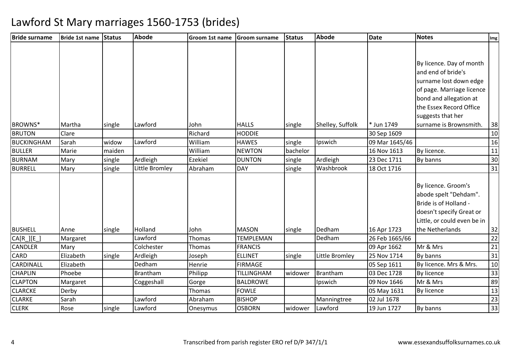| <b>Bride surname</b> | Bride 1st name Status |        | Abode          | Groom 1st name | <b>Groom surname</b> | <b>Status</b> | Abode            | <b>Date</b>    | <b>Notes</b>                                                                                                                                                                    | Img    |
|----------------------|-----------------------|--------|----------------|----------------|----------------------|---------------|------------------|----------------|---------------------------------------------------------------------------------------------------------------------------------------------------------------------------------|--------|
|                      |                       |        |                |                |                      |               |                  |                |                                                                                                                                                                                 |        |
|                      |                       |        |                |                |                      |               |                  |                | By licence. Day of month<br>and end of bride's<br>surname lost down edge<br>of page. Marriage licence<br>bond and allegation at<br>the Essex Record Office<br>suggests that her |        |
| BROWNS*              | Martha                | single | Lawford        | John           | <b>HALLS</b>         | single        | Shelley, Suffolk | * Jun 1749     | surname is Brownsmith.                                                                                                                                                          | 38     |
| <b>BRUTON</b>        | Clare                 |        |                | Richard        | <b>HODDIE</b>        |               |                  | 30 Sep 1609    |                                                                                                                                                                                 | 10     |
| <b>BUCKINGHAM</b>    | Sarah                 | widow  | Lawford        | William        | <b>HAWES</b>         | single        | Ipswich          | 09 Mar 1645/46 |                                                                                                                                                                                 | 16     |
| <b>BULLER</b>        | Marie                 | maiden |                | William        | <b>NEWTON</b>        | bachelor      |                  | 16 Nov 1613    | By licence.                                                                                                                                                                     | 11     |
| <b>BURNAM</b>        | Mary                  | single | Ardleigh       | Ezekiel        | <b>DUNTON</b>        | single        | Ardleigh         | 23 Dec 1711    | By banns                                                                                                                                                                        | 30     |
| <b>BURRELL</b>       | Mary                  | single | Little Bromley | Abraham        | <b>DAY</b>           | single        | Washbrook        | 18 Oct 1716    |                                                                                                                                                                                 | 31     |
| <b>BUSHELL</b>       | Anne                  | single | Holland        | John           | <b>MASON</b>         | single        | Dedham           | 16 Apr 1723    | By licence. Groom's<br>abode spelt "Dehdam".<br>Bride is of Holland -<br>doesn't specify Great or<br>Little, or could even be in<br>the Netherlands                             | 32     |
| CA[R_][E_]           | Margaret              |        | Lawford        | Thomas         | <b>TEMPLEMAN</b>     |               | Dedham           | 26 Feb 1665/66 |                                                                                                                                                                                 | 22     |
| <b>CANDLER</b>       | Mary                  |        | Colchester     | Thomas         | <b>FRANCIS</b>       |               |                  | 09 Apr 1662    | Mr & Mrs                                                                                                                                                                        | 21     |
| <b>CARD</b>          | Elizabeth             | single | Ardleigh       | Joseph         | <b>ELLINET</b>       | single        | Little Bromley   | 25 Nov 1714    | By banns                                                                                                                                                                        | 31     |
| CARDINALL            | Elizabeth             |        | Dedham         | Henrie         | <b>FIRMAGE</b>       |               |                  | 05 Sep 1611    | By licence. Mrs & Mrs.                                                                                                                                                          | $10\,$ |
| <b>CHAPLIN</b>       | Phoebe                |        | Brantham       | Philipp        | TILLINGHAM           | widower       | Brantham         | 03 Dec 1728    | By licence                                                                                                                                                                      | 33     |
| <b>CLAPTON</b>       | Margaret              |        | Coggeshall     | Gorge          | <b>BALDROWE</b>      |               | Ipswich          | 09 Nov 1646    | Mr & Mrs                                                                                                                                                                        | 89     |
| <b>CLARCKE</b>       | Derby                 |        |                | Thomas         | <b>FOWLE</b>         |               |                  | 05 May 1631    | <b>By licence</b>                                                                                                                                                               | 13     |
| <b>CLARKE</b>        | Sarah                 |        | Lawford        | Abraham        | <b>BISHOP</b>        |               | Manningtree      | 02 Jul 1678    |                                                                                                                                                                                 | 23     |
| <b>CLERK</b>         | Rose                  | single | Lawford        | Onesymus       | <b>OSBORN</b>        | widower       | Lawford          | 19 Jun 1727    | By banns                                                                                                                                                                        | 33     |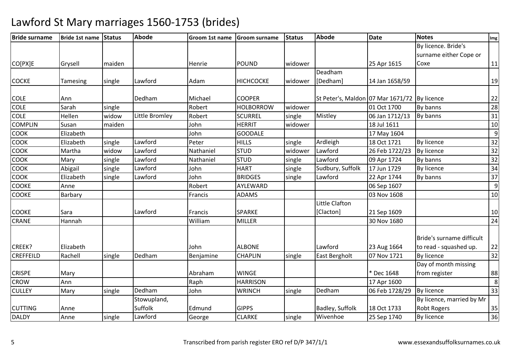| <b>Bride surname</b> | Bride 1st name Status |        | <b>Abode</b>   | Groom 1st name | Groom surname    | <b>Status</b> | <b>Abode</b>                                 | <b>Date</b>    | <b>Notes</b>              | Img             |
|----------------------|-----------------------|--------|----------------|----------------|------------------|---------------|----------------------------------------------|----------------|---------------------------|-----------------|
|                      |                       |        |                |                |                  |               |                                              |                | By licence. Bride's       |                 |
|                      |                       |        |                |                |                  |               |                                              |                | surname either Cope or    |                 |
| CO[PX]E              | Grysell               | maiden |                | Henrie         | <b>POUND</b>     | widower       |                                              | 25 Apr 1615    | Coxe                      | $11\,$          |
|                      |                       |        |                |                |                  |               | Deadham                                      |                |                           |                 |
| <b>COCKE</b>         | Tamesing              | single | Lawford        | Adam           | <b>HICHCOCKE</b> | widower       | [Dedham]                                     | 14 Jan 1658/59 |                           | 19              |
| <b>COLE</b>          | Ann                   |        | Dedham         | Michael        | <b>COOPER</b>    |               | St Peter's, Maldon 07 Mar 1671/72 By licence |                |                           | 22              |
| <b>COLE</b>          | Sarah                 | single |                | Robert         | <b>HOLBORROW</b> | widower       |                                              | 01 Oct 1700    | By banns                  | 28              |
| <b>COLE</b>          | Hellen                | widow  | Little Bromley | Robert         | <b>SCURREL</b>   | single        | Mistley                                      | 06 Jan 1712/13 | By banns                  | 31              |
| <b>COMPLIN</b>       | Susan                 | maiden |                | John           | <b>HERRIT</b>    | widower       |                                              | 18 Jul 1611    |                           | 10              |
| COOK                 | Elizabeth             |        |                | John           | <b>GOODALE</b>   |               |                                              | 17 May 1604    |                           | 9               |
| COOK                 | Elizabeth             | single | Lawford        | Peter          | <b>HILLS</b>     | single        | Ardleigh                                     | 18 Oct 1721    | By licence                | 32              |
| COOK                 | Martha                | widow  | Lawford        | Nathaniel      | <b>STUD</b>      | widower       | Lawford                                      | 26 Feb 1722/23 | By licence                | 32              |
| COOK                 | Mary                  | single | Lawford        | Nathaniel      | <b>STUD</b>      | single        | Lawford                                      | 09 Apr 1724    | By banns                  | 32              |
| COOK                 | Abigail               | single | Lawford        | John           | <b>HART</b>      | single        | Sudbury, Suffolk                             | 17 Jun 1729    | By licence                | 34              |
| <b>COOK</b>          | Elizabeth             | single | Lawford        | John           | <b>BRIDGES</b>   | single        | Lawford                                      | 22 Apr 1744    | By banns                  | 37              |
| COOKE                | Anne                  |        |                | Robert         | AYLEWARD         |               |                                              | 06 Sep 1607    |                           | 9               |
| <b>COOKE</b>         | Barbary               |        |                | Francis        | <b>ADAMS</b>     |               |                                              | 03 Nov 1608    |                           | 10              |
|                      |                       |        |                |                |                  |               | Little Clafton                               |                |                           |                 |
| <b>COOKE</b>         | Sara                  |        | Lawford        | Francis        | <b>SPARKE</b>    |               | [Clacton]                                    | 21 Sep 1609    |                           | 10              |
| <b>CRANE</b>         | Hannah                |        |                | William        | <b>MILLER</b>    |               |                                              | 30 Nov 1680    |                           | 24              |
|                      |                       |        |                |                |                  |               |                                              |                | Bride's surname difficult |                 |
| CREEK?               | Elizabeth             |        |                | John           | <b>ALBONE</b>    |               | Lawford                                      | 23 Aug 1664    | to read - squashed up.    | 22              |
| <b>CREFFEILD</b>     | Rachell               | single | Dedham         | Benjamine      | <b>CHAPLIN</b>   | single        | East Bergholt                                | 07 Nov 1721    | <b>By licence</b>         | $\overline{32}$ |
|                      |                       |        |                |                |                  |               |                                              |                | Day of month missing      |                 |
| <b>CRISPE</b>        | Mary                  |        |                | Abraham        | <b>WINGE</b>     |               |                                              | * Dec 1648     | from register             | 88              |
| <b>CROW</b>          | Ann                   |        |                | Raph           | <b>HARRISON</b>  |               |                                              | 17 Apr 1600    |                           | 8               |
| <b>CULLEY</b>        | Mary                  | single | Dedham         | John           | <b>WRINCH</b>    | single        | Dedham                                       | 06 Feb 1728/29 | By licence                | 33              |
|                      |                       |        | Stowupland,    |                |                  |               |                                              |                | By licence, married by Mr |                 |
| <b>CUTTING</b>       | Anne                  |        | Suffolk        | Edmund         | <b>GIPPS</b>     |               | Badley, Suffolk                              | 18 Oct 1733    | <b>Robt Rogers</b>        | 35              |
| <b>DALDY</b>         | Anne                  | single | Lawford        | George         | <b>CLARKE</b>    | single        | Wivenhoe                                     | 25 Sep 1740    | By licence                | $\overline{36}$ |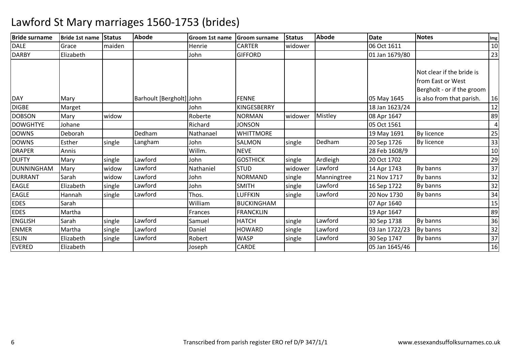| <b>Bride surname</b> | Bride 1st name Status |        | <b>Abode</b>             | Groom 1st name | <b>Groom surname</b> | <b>Status</b> | Abode       | Date           | <b>Notes</b>               | Img |
|----------------------|-----------------------|--------|--------------------------|----------------|----------------------|---------------|-------------|----------------|----------------------------|-----|
| <b>DALE</b>          | Grace                 | maiden |                          | Henrie         | <b>CARTER</b>        | widower       |             | 06 Oct 1611    |                            | 10  |
| <b>DARBY</b>         | Elizabeth             |        |                          | John           | <b>GIFFORD</b>       |               |             | 01 Jan 1679/80 |                            | 23  |
|                      |                       |        |                          |                |                      |               |             |                |                            |     |
|                      |                       |        |                          |                |                      |               |             |                | Not clear if the bride is  |     |
|                      |                       |        |                          |                |                      |               |             |                | from East or West          |     |
|                      |                       |        |                          |                |                      |               |             |                | Bergholt - or if the groom |     |
| <b>DAY</b>           | Mary                  |        | Barhoult [Bergholt] John |                | <b>FENNE</b>         |               |             | 05 May 1645    | is also from that parish.  | 16  |
| <b>DIGBE</b>         | Marget                |        |                          | John           | KINGESBERRY          |               |             | 18 Jan 1623/24 |                            | 12  |
| <b>DOBSON</b>        | Mary                  | widow  |                          | Roberte        | <b>NORMAN</b>        | widower       | Mistley     | 08 Apr 1647    |                            | 89  |
| <b>DOWGHTYE</b>      | Johane                |        |                          | Richard        | <b>JONSON</b>        |               |             | 05 Oct 1561    |                            |     |
| <b>DOWNS</b>         | Deborah               |        | Dedham                   | Nathanael      | <b>WHITTMORE</b>     |               |             | 19 May 1691    | By licence                 | 25  |
| <b>DOWNS</b>         | Esther                | single | Langham                  | John           | <b>SALMON</b>        | single        | Dedham      | 20 Sep 1726    | By licence                 | 33  |
| <b>DRAPER</b>        | Annis                 |        |                          | Willm.         | <b>NEVE</b>          |               |             | 28 Feb 1608/9  |                            | 10  |
| <b>DUFTY</b>         | Mary                  | single | Lawford                  | John           | <b>GOSTHICK</b>      | single        | Ardleigh    | 20 Oct 1702    |                            | 29  |
| DUNNINGHAM           | Mary                  | widow  | Lawford                  | Nathaniel      | <b>STUD</b>          | widower       | Lawford     | 14 Apr 1743    | By banns                   | 37  |
| <b>DURRANT</b>       | Sarah                 | widow  | Lawford                  | John           | NORMAND              | single        | Manningtree | 21 Nov 1717    | By banns                   | 32  |
| <b>EAGLE</b>         | Elizabeth             | single | Lawford                  | John           | <b>SMITH</b>         | single        | Lawford     | 16 Sep 1722    | By banns                   | 32  |
| <b>EAGLE</b>         | Hannah                | single | Lawford                  | Thos.          | <b>LUFFKIN</b>       | single        | Lawford     | 20 Nov 1730    | By banns                   | 34  |
| <b>EDES</b>          | Sarah                 |        |                          | William        | <b>BUCKINGHAM</b>    |               |             | 07 Apr 1640    |                            | 15  |
| <b>EDES</b>          | Martha                |        |                          | Frances        | <b>FRANCKLIN</b>     |               |             | 19 Apr 1647    |                            | 89  |
| <b>ENGLISH</b>       | Sarah                 | single | Lawford                  | Samuel         | <b>HATCH</b>         | single        | Lawford     | 30 Sep 1738    | By banns                   | 36  |
| <b>ENMER</b>         | Martha                | single | Lawford                  | Daniel         | <b>HOWARD</b>        | single        | Lawford     | 03 Jan 1722/23 | By banns                   | 32  |
| <b>ESLIN</b>         | Elizabeth             | single | Lawford                  | Robert         | <b>WASP</b>          | single        | Lawford     | 30 Sep 1747    | By banns                   | 37  |
| <b>EVERED</b>        | Elizabeth             |        |                          | Joseph         | <b>CARDE</b>         |               |             | 05 Jan 1645/46 |                            | 16  |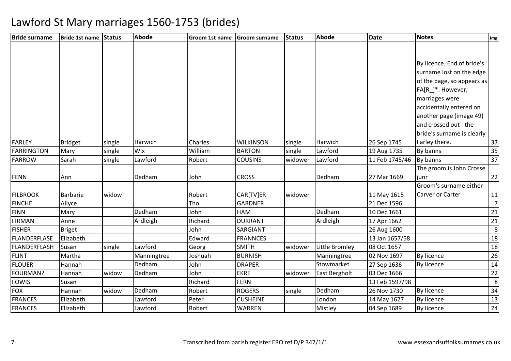| <b>Bride surname</b> | Bride 1st name Status |        | <b>Abode</b> | Groom 1st name | <b>Groom surname</b> | <b>Status</b> | Abode          | <b>Date</b>    | <b>Notes</b>               | Img            |
|----------------------|-----------------------|--------|--------------|----------------|----------------------|---------------|----------------|----------------|----------------------------|----------------|
|                      |                       |        |              |                |                      |               |                |                |                            |                |
|                      |                       |        |              |                |                      |               |                |                |                            |                |
|                      |                       |        |              |                |                      |               |                |                | By licence. End of bride's |                |
|                      |                       |        |              |                |                      |               |                |                | surname lost on the edge   |                |
|                      |                       |        |              |                |                      |               |                |                | of the page, so appears as |                |
|                      |                       |        |              |                |                      |               |                |                | FA[R_]*. However,          |                |
|                      |                       |        |              |                |                      |               |                |                | marriages were             |                |
|                      |                       |        |              |                |                      |               |                |                | accidentally entered on    |                |
|                      |                       |        |              |                |                      |               |                |                | another page (image 49)    |                |
|                      |                       |        |              |                |                      |               |                |                | and crossed out - the      |                |
|                      |                       |        |              |                |                      |               |                |                | bride's surname is clearly |                |
| <b>FARLEY</b>        | <b>Bridget</b>        | single | Harwich      | Charles        | <b>WILKINSON</b>     | single        | Harwich        | 26 Sep 1745    | Farley there.              | 37             |
| FARRINGTON           | Mary                  | single | Wix          | William        | <b>BARTON</b>        | single        | Lawford        | 19 Aug 1735    | By banns                   | 35             |
| <b>FARROW</b>        | Sarah                 | single | Lawford      | Robert         | <b>COUSINS</b>       | widower       | Lawford        | 11 Feb 1745/46 | By banns                   | 37             |
|                      |                       |        |              |                |                      |               |                |                | The groom is John Crosse   |                |
| <b>FENN</b>          | Ann                   |        | Dedham       | John           | <b>CROSS</b>         |               | Dedham         | 27 Mar 1669    | iunr                       | 22             |
|                      |                       |        |              |                |                      |               |                |                | Groom's surname either     |                |
| <b>FILBROOK</b>      | <b>Barbarie</b>       | widow  |              | Robert         | CAR[TV]ER            | widower       |                | 11 May 1615    | Carver or Carter           | 11             |
| <b>FINCHE</b>        | Allyce                |        |              | Tho.           | <b>GARDNER</b>       |               |                | 21 Dec 1596    |                            | $\overline{7}$ |
| <b>FINN</b>          | Mary                  |        | Dedham       | John           | <b>HAM</b>           |               | Dedham         | 10 Dec 1661    |                            | 21             |
| <b>FIRMAN</b>        | Anne                  |        | Ardleigh     | Richard        | <b>DURRANT</b>       |               | Ardleigh       | 17 Apr 1662    |                            | 21             |
| <b>FISHER</b>        | <b>Briget</b>         |        |              | John           | SARGIANT             |               |                | 26 Aug 1600    |                            | 8              |
| FLANDERFLASE         | Elizabeth             |        |              | Edward         | <b>FRANNCES</b>      |               |                | 13 Jan 1657/58 |                            | 18             |
| FLANDERFLASH         | Susan                 | single | Lawford      | Georg          | <b>SMITH</b>         | widower       | Little Bromley | 08 Oct 1657    |                            | 18             |
| <b>FLINT</b>         | Martha                |        | Manningtree  | Joshuah        | <b>BURNISH</b>       |               | Manningtree    | 02 Nov 1697    | By licence                 | 26             |
| <b>FLOUER</b>        | Hannah                |        | Dedham       | John           | <b>DRAPER</b>        |               | Stowmarket     | 27 Sep 1636    | By licence                 | 14             |
| FOURMAN?             | Hannah                | widow  | Dedham       | John           | <b>EKRE</b>          | widower       | East Bergholt  | 03 Dec 1666    |                            | 22             |
| <b>FOWIS</b>         | Susan                 |        |              | Richard        | <b>FERN</b>          |               |                | 13 Feb 1597/98 |                            | 8              |
| <b>FOX</b>           | Hannah                | widow  | Dedham       | Robert         | <b>ROGERS</b>        | single        | Dedham         | 26 Nov 1730    | By licence                 | 34             |
| <b>FRANCES</b>       | Elizabeth             |        | Lawford      | Peter          | <b>CUSHEINE</b>      |               | London         | 14 May 1627    | By licence                 | 13             |
| <b>FRANCES</b>       | Elizabeth             |        | Lawford      | Robert         | <b>WARREN</b>        |               | Mistley        | 04 Sep 1689    | By licence                 | 24             |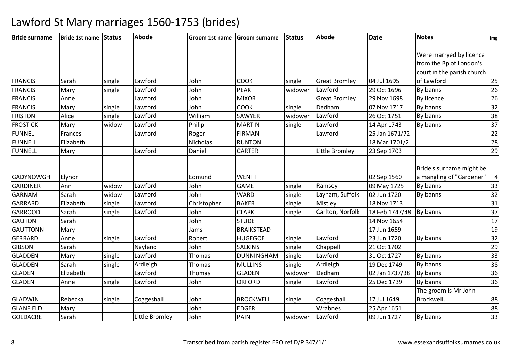| <b>Bride surname</b> | Bride 1st name | <b>Status</b> | Abode          | Groom 1st name | Groom surname     | <b>Status</b> | <b>Abode</b>         | <b>Date</b>    | <b>Notes</b>               | Img             |
|----------------------|----------------|---------------|----------------|----------------|-------------------|---------------|----------------------|----------------|----------------------------|-----------------|
|                      |                |               |                |                |                   |               |                      |                |                            |                 |
|                      |                |               |                |                |                   |               |                      |                | Were marryed by licence    |                 |
|                      |                |               |                |                |                   |               |                      |                | from the Bp of London's    |                 |
|                      |                |               |                |                |                   |               |                      |                | court in the parish church |                 |
| <b>FRANCIS</b>       | Sarah          | single        | Lawford        | John           | <b>COOK</b>       | single        | <b>Great Bromley</b> | 04 Jul 1695    | of Lawford                 | 25              |
| <b>FRANCIS</b>       | Mary           | single        | Lawford        | John           | PEAK              | widower       | Lawford              | 29 Oct 1696    | By banns                   | 26              |
| <b>FRANCIS</b>       | Anne           |               | Lawford        | John           | <b>MIXOR</b>      |               | <b>Great Bromley</b> | 29 Nov 1698    | By licence                 | 26              |
| <b>FRANCIS</b>       | Mary           | single        | Lawford        | John           | <b>COOK</b>       | single        | Dedham               | 07 Nov 1717    | By banns                   | 32              |
| <b>FRISTON</b>       | Alice          | single        | Lawford        | William        | <b>SAWYER</b>     | widower       | Lawford              | 26 Oct 1751    | By banns                   | 38              |
| <b>FROSTICK</b>      | Mary           | widow         | Lawford        | Philip         | <b>MARTIN</b>     | single        | Lawford              | 14 Apr 1743    | By banns                   | 37              |
| <b>FUNNEL</b>        | Frances        |               | Lawford        | Roger          | <b>FIRMAN</b>     |               | Lawford              | 25 Jan 1671/72 |                            | 22              |
| <b>FUNNELL</b>       | Elizabeth      |               |                | Nicholas       | <b>RUNTON</b>     |               |                      | 18 Mar 1701/2  |                            | 28              |
| <b>FUNNELL</b>       | Mary           |               | Lawford        | Daniel         | <b>CARTER</b>     |               | Little Bromley       | 23 Sep 1703    |                            | 29              |
|                      |                |               |                |                |                   |               |                      |                |                            |                 |
|                      |                |               |                |                |                   |               |                      |                | Bride's surname might be   |                 |
| <b>GADYNOWGH</b>     | Elynor         |               |                | Edmund         | <b>WENTT</b>      |               |                      | 02 Sep 1560    | a mangling of "Gardener"   | 4               |
| <b>GARDINER</b>      | Ann            | widow         | Lawford        | John           | <b>GAME</b>       | single        | Ramsey               | 09 May 1725    | By banns                   | 33              |
| <b>GARNAM</b>        | Sarah          | widow         | Lawford        | John           | <b>WARD</b>       | single        | Layham, Suffolk      | 02 Jun 1720    | By banns                   | 32              |
| <b>GARRARD</b>       | Elizabeth      | single        | Lawford        | Christopher    | <b>BAKER</b>      | single        | Mistley              | 18 Nov 1713    |                            | 31              |
| <b>GARROOD</b>       | Sarah          | single        | Lawford        | John           | <b>CLARK</b>      | single        | Carlton, Norfolk     | 18 Feb 1747/48 | By banns                   | $\overline{37}$ |
| <b>GAUTON</b>        | Sarah          |               |                | John           | <b>STUDE</b>      |               |                      | 14 Nov 1654    |                            | 17              |
| <b>GAUTTONN</b>      | Mary           |               |                | Jams           | <b>BRAIKSTEAD</b> |               |                      | 17 Jun 1659    |                            | 19              |
| <b>GERRARD</b>       | Anne           | single        | Lawford        | Robert         | <b>HUGEGOE</b>    | single        | Lawford              | 23 Jun 1720    | By banns                   | 32              |
| <b>GIBSON</b>        | Sarah          |               | Nayland        | John           | <b>SALKINS</b>    | single        | Chappell             | 21 Oct 1702    |                            | 29              |
| <b>GLADDEN</b>       | Mary           | single        | Lawford        | Thomas         | <b>DUNNINGHAM</b> | single        | Lawford              | 31 Oct 1727    | By banns                   | 33              |
| <b>GLADDEN</b>       | Sarah          | single        | Ardleigh       | Thomas         | <b>MULLINS</b>    | single        | Ardleigh             | 19 Dec 1749    | By banns                   | 38              |
| <b>GLADEN</b>        | Elizabeth      |               | Lawford        | Thomas         | <b>GLADEN</b>     | widower       | Dedham               | 02 Jan 1737/38 | By banns                   | 36              |
| <b>GLADEN</b>        | Anne           | single        | Lawford        | John           | <b>ORFORD</b>     | single        | Lawford              | 25 Dec 1739    | By banns                   | 36              |
|                      |                |               |                |                |                   |               |                      |                | The groom is Mr John       |                 |
| <b>GLADWIN</b>       | Rebecka        | single        | Coggeshall     | John           | <b>BROCKWELL</b>  | single        | Coggeshall           | 17 Jul 1649    | Brockwell.                 | 88              |
| <b>GLANFIELD</b>     | Mary           |               |                | John           | <b>EDGER</b>      |               | Wrabnes              | 25 Apr 1651    |                            | 88              |
| <b>GOLDACRE</b>      | Sarah          |               | Little Bromley | John           | PAIN              | widower       | Lawford              | 09 Jun 1727    | By banns                   | 33              |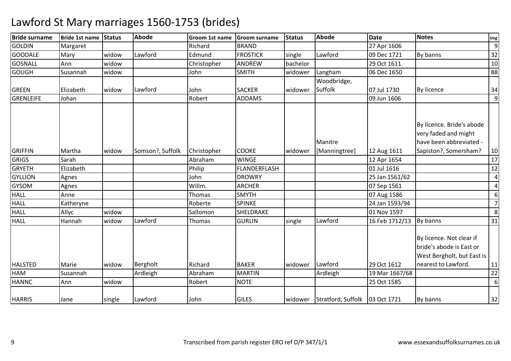| <b>Bride surname</b> | Bride 1st name | <b>Status</b> | <b>Abode</b>     | Groom 1st name | <b>Groom surname</b> | <b>Status</b> | <b>Abode</b>             | <b>Date</b>    | <b>Notes</b>                                                                                          | Img            |
|----------------------|----------------|---------------|------------------|----------------|----------------------|---------------|--------------------------|----------------|-------------------------------------------------------------------------------------------------------|----------------|
| <b>GOLDIN</b>        | Margaret       |               |                  | Richard        | <b>BRAND</b>         |               |                          | 27 Apr 1606    |                                                                                                       | 9              |
| <b>GOODALE</b>       | Mary           | widow         | Lawford          | Edmund         | <b>FROSTICK</b>      | single        | Lawford                  | 09 Dec 1721    | By banns                                                                                              | 32             |
| <b>GOSNALL</b>       | Ann            | widow         |                  | Christopher    | <b>ANDREW</b>        | bachelor      |                          | 29 Oct 1611    |                                                                                                       | 10             |
| <b>GOUGH</b>         | Susannah       | widow         |                  | John           | <b>SMITH</b>         | widower       | Langham                  | 06 Dec 1650    |                                                                                                       | 88             |
|                      |                |               |                  |                |                      |               | Woodbridge,              |                |                                                                                                       |                |
| <b>GREEN</b>         | Elizabeth      | widow         | Lawford          | John           | <b>SACKER</b>        | widower       | Suffolk                  | 07 Jul 1730    | By licence                                                                                            | 34             |
| <b>GRENLEIFE</b>     | Johan          |               |                  | Robert         | <b>ADDAMS</b>        |               |                          | 09 Jun 1606    |                                                                                                       | 9              |
| <b>GRIFFIN</b>       | Martha         | widow         | Somson?, Suffolk | Christopher    | <b>COOKE</b>         | widower       | Manitre<br>[Manningtree] | 12 Aug 1611    | By licence. Bride's abode<br>very faded and might<br>have been abbreviated -<br>Sapiston?, Somersham? | 10             |
| <b>GRIGS</b>         | Sarah          |               |                  | Abraham        | <b>WINGE</b>         |               |                          | 12 Apr 1654    |                                                                                                       | 17             |
| <b>GRYETH</b>        | Elizabeth      |               |                  | Philip         | FLANDERFLASH         |               |                          | 01 Jul 1616    |                                                                                                       | 12             |
| <b>GYLLION</b>       | Agnes          |               |                  | John           | <b>DROWRY</b>        |               |                          | 25 Jan 1561/62 |                                                                                                       | 4              |
| <b>GYSOM</b>         | Agnes          |               |                  | Willm.         | <b>ARCHER</b>        |               |                          | 07 Sep 1561    |                                                                                                       | 4              |
| <b>HALL</b>          | Anne           |               |                  | Thomas         | <b>SMYTH</b>         |               |                          | 07 Aug 1586    |                                                                                                       | 6              |
| <b>HALL</b>          | Katheryne      |               |                  | Roberte        | <b>SPINKE</b>        |               |                          | 24 Jan 1593/94 |                                                                                                       | $\overline{7}$ |
| HALL                 | Allyc          | widow         |                  | Sallomon       | SHELDRAKE            |               |                          | 01 Nov 1597    |                                                                                                       | 8              |
| <b>HALL</b>          | Hannah         | widow         | Lawford          | Thomas         | <b>GURLIN</b>        | single        | Lawford                  | 16 Feb 1712/13 | By banns                                                                                              | 31             |
|                      |                |               |                  |                |                      |               |                          |                | By licence. Not clear if<br>bride's abode is East or<br>West Bergholt, but East is                    |                |
| <b>HALSTED</b>       | Marie          | widow         | Bergholt         | Richard        | <b>BAKER</b>         | widower       | Lawford                  | 29 Oct 1612    | nearest to Lawford.                                                                                   | 11             |
| <b>HAM</b>           | Susannah       |               | Ardleigh         | Abraham        | <b>MARTIN</b>        |               | Ardleigh                 | 19 Mar 1667/68 |                                                                                                       | 22             |
| <b>HANNC</b>         | Ann            | widow         |                  | Robert         | <b>NOTE</b>          |               |                          | 25 Oct 1585    |                                                                                                       | 6              |
| <b>HARRIS</b>        | Jane           | single        | Lawford          | John           | <b>GILES</b>         | widower       | Stratford, Suffolk       | 03 Oct 1721    | By banns                                                                                              | 32             |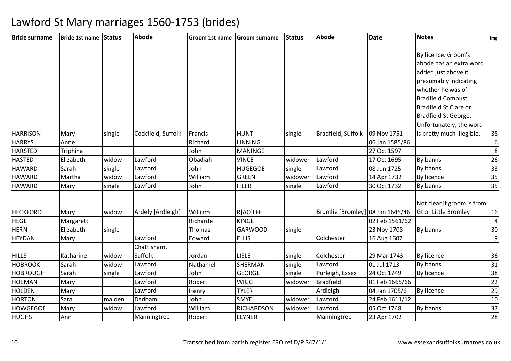| <b>Bride surname</b> | Bride 1st name Status |        | Abode              | Groom 1st name | <b>Groom surname</b> | <b>Status</b> | <b>Abode</b>                     | <b>Date</b>    | <b>Notes</b>               | Img             |
|----------------------|-----------------------|--------|--------------------|----------------|----------------------|---------------|----------------------------------|----------------|----------------------------|-----------------|
|                      |                       |        |                    |                |                      |               |                                  |                |                            |                 |
|                      |                       |        |                    |                |                      |               |                                  |                | By licence. Groom's        |                 |
|                      |                       |        |                    |                |                      |               |                                  |                | abode has an extra word    |                 |
|                      |                       |        |                    |                |                      |               |                                  |                | added just above it,       |                 |
|                      |                       |        |                    |                |                      |               |                                  |                | presumably indicating      |                 |
|                      |                       |        |                    |                |                      |               |                                  |                | whether he was of          |                 |
|                      |                       |        |                    |                |                      |               |                                  |                | <b>Bradfield Combust,</b>  |                 |
|                      |                       |        |                    |                |                      |               |                                  |                | Bradfield St Clare or      |                 |
|                      |                       |        |                    |                |                      |               |                                  |                | Bradfield St George.       |                 |
|                      |                       |        |                    |                |                      |               |                                  |                | Unfortunately, the word    |                 |
| <b>HARRISON</b>      | Mary                  | single | Cockfield, Suffolk | Francis        | <b>HUNT</b>          | single        | Bradfield, Suffolk               | 09 Nov 1751    | is pretty much illegible.  | 38              |
| <b>HARRYS</b>        | Anne                  |        |                    | Richard        | <b>LINNING</b>       |               |                                  | 06 Jan 1585/86 |                            | 6               |
| <b>HARSTED</b>       | Triphina              |        |                    | John           | <b>MANINGE</b>       |               |                                  | 27 Oct 1597    |                            | 8               |
| <b>HASTED</b>        | Elizabeth             | widow  | Lawford            | Obadiah        | <b>VINCE</b>         | widower       | Lawford                          | 17 Oct 1695    | By banns                   | 26              |
| <b>HAWARD</b>        | Sarah                 | single | Lawford            | John           | <b>HUGEGOE</b>       | single        | Lawford                          | 08 Jun 1725    | By banns                   | 33              |
| <b>HAWARD</b>        | Martha                | widow  | Lawford            | William        | <b>GREEN</b>         | widower       | Lawford                          | 14 Apr 1732    | By licence                 | 35              |
| <b>HAWARD</b>        | Mary                  | single | Lawford            | John           | <b>FILER</b>         | single        | Lawford                          | 30 Oct 1732    | By banns                   | $\overline{35}$ |
|                      |                       |        |                    |                |                      |               |                                  |                |                            |                 |
|                      |                       |        |                    |                |                      |               |                                  |                | Not clear if groom is from |                 |
| <b>HECKFORD</b>      | Mary                  | widow  | Ardely [Ardleigh]  | William        | R[AO]LFE             |               | Brumlie [Bromley] 08 Jan 1645/46 |                | Gt or Little Bromley       | 16              |
| <b>HEGE</b>          | Margarett             |        |                    | Richarde       | <b>KINGE</b>         |               |                                  | 02 Feb 1561/62 |                            | 4               |
| <b>HERN</b>          | Elizabeth             | single |                    | Thomas         | <b>GARWOOD</b>       | single        |                                  | 23 Nov 1708    | By banns                   | 30              |
| <b>HEYDAN</b>        | Mary                  |        | Lawford            | Edward         | <b>ELLIS</b>         |               | Colchester                       | 16 Aug 1607    |                            | 9               |
|                      |                       |        | Chattisham,        |                |                      |               |                                  |                |                            |                 |
| <b>HILLS</b>         | Katharine             | widow  | Suffolk            | Jordan         | <b>LISLE</b>         | single        | Colchester                       | 29 Mar 1743    | By licence                 | 36              |
| <b>HOBROOK</b>       | Sarah                 | widow  | Lawford            | Nathaniel      | <b>SHERMAN</b>       | single        | Lawford                          | 01 Jul 1713    | By banns                   | 31              |
| <b>HOBROUGH</b>      | Sarah                 | single | Lawford            | John           | <b>GEORGE</b>        | single        | Purleigh, Essex                  | 24 Oct 1749    | By licence                 | 38              |
| <b>HOEMAN</b>        | Mary                  |        | Lawford            | Robert         | <b>WIGG</b>          | widower       | <b>Bradfield</b>                 | 01 Feb 1665/66 |                            | 22              |
| <b>HOLDEN</b>        | Mary                  |        | Lawford            | Henry          | <b>TYLER</b>         |               | Ardleigh                         | 04 Jan 1705/6  | <b>By licence</b>          | 29              |
| <b>HORTON</b>        | Sara                  | maiden | Dedham             | John           | <b>SMYE</b>          | widower       | Lawford                          | 24 Feb 1611/12 |                            | $10\,$          |
| <b>HOWGEGOE</b>      | Mary                  | widow  | Lawford            | William        | <b>RICHARDSON</b>    | widower       | Lawford                          | 05 Oct 1748    | By banns                   | 37              |
| <b>HUGHS</b>         | Ann                   |        | Manningtree        | Robert         | LEYNER               |               | Manningtree                      | 23 Apr 1702    |                            | 28              |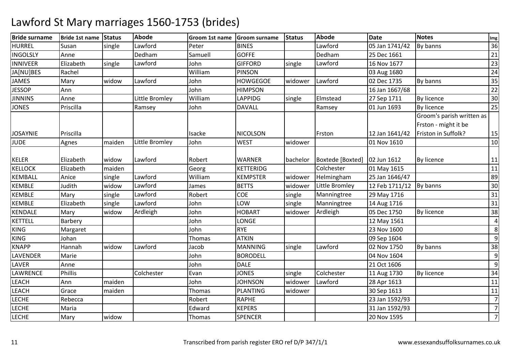| <b>Bride surname</b> | Bride 1st name Status |        | Abode          | Groom 1st name Groom surname |                 | Status   | <b>Abode</b>     | <b>Date</b>    | <b>Notes</b>              | Img            |
|----------------------|-----------------------|--------|----------------|------------------------------|-----------------|----------|------------------|----------------|---------------------------|----------------|
| <b>HURREL</b>        | Susan                 | single | Lawford        | Peter                        | <b>BINES</b>    |          | Lawford          | 05 Jan 1741/42 | By banns                  | 36             |
| <b>INGOLSLY</b>      | Anne                  |        | Dedham         | Samuell                      | <b>GOFFE</b>    |          | Dedham           | 25 Dec 1661    |                           | 21             |
| <b>INNIVEER</b>      | Elizabeth             | single | Lawford        | John                         | <b>GIFFORD</b>  | single   | Lawford          | 16 Nov 1677    |                           | 23             |
| JA[NU]BES            | Rachel                |        |                | William                      | <b>PINSON</b>   |          |                  | 03 Aug 1680    |                           | 24             |
| <b>JAMES</b>         | Mary                  | widow  | Lawford        | John                         | <b>HOWGEGOE</b> | widower  | Lawford          | 02 Dec 1735    | By banns                  | 35             |
| <b>JESSOP</b>        | Ann                   |        |                | John                         | <b>HIMPSON</b>  |          |                  | 16 Jan 1667/68 |                           | 22             |
| <b>JINNINS</b>       | Anne                  |        | Little Bromley | William                      | <b>LAPPIDG</b>  | single   | Elmstead         | 27 Sep 1711    | By licence                | 30             |
| <b>JONES</b>         | Priscilla             |        | Ramsey         | John                         | <b>DAVALL</b>   |          | Ramsey           | 01 Jun 1693    | <b>By licence</b>         | 25             |
|                      |                       |        |                |                              |                 |          |                  |                | Groom's parish written as |                |
|                      |                       |        |                |                              |                 |          |                  |                | Frston - might it be      |                |
| JOSAYNIE             | Priscilla             |        |                | Isacke                       | <b>NICOLSON</b> |          | Frston           | 12 Jan 1641/42 | Friston in Suffolk?       | 15             |
| <b>JUDE</b>          | Agnes                 | maiden | Little Bromley | John                         | <b>WEST</b>     | widower  |                  | 01 Nov 1610    |                           | 10             |
|                      |                       |        |                |                              |                 |          |                  |                |                           |                |
| <b>KELER</b>         | Elizabeth             | widow  | Lawford        | Robert                       | <b>WARNER</b>   | bachelor | Boxtede [Boxted] | 02 Jun 1612    | By licence                | 11             |
| KELLOCK              | Elizabeth             | maiden |                | Georg                        | KETTERIDG       |          | Colchester       | 01 May 1615    |                           | 11             |
| <b>KEMBALL</b>       | Anice                 | single | Lawford        | William                      | <b>KEMPSTER</b> | widower  | Helmingham       | 25 Jan 1646/47 |                           | 89             |
| <b>KEMBLE</b>        | Judith                | widow  | Lawford        | James                        | <b>BETTS</b>    | widower  | Little Bromley   | 12 Feb 1711/12 | By banns                  | 30             |
| <b>KEMBLE</b>        | Mary                  | single | Lawford        | Robert                       | <b>COE</b>      | single   | Manningtree      | 29 May 1716    |                           | 31             |
| <b>KEMBLE</b>        | Elizabeth             | single | Lawford        | John                         | LOW             | single   | Manningtree      | 14 Aug 1716    |                           | 31             |
| <b>KENDALE</b>       | Mary                  | widow  | Ardleigh       | John                         | <b>HOBART</b>   | widower  | Ardleigh         | 05 Dec 1750    | By licence                | 38             |
| <b>KETTELL</b>       | Barbery               |        |                | John                         | LONGE           |          |                  | 12 May 1561    |                           | $\overline{a}$ |
| KING                 | Margaret              |        |                | John                         | <b>RYE</b>      |          |                  | 23 Nov 1600    |                           | 8              |
| <b>KING</b>          | Johan                 |        |                | Thomas                       | <b>ATKIN</b>    |          |                  | 09 Sep 1604    |                           | 9              |
| <b>KNAPP</b>         | Hannah                | widow  | Lawford        | Jacob                        | <b>MANNING</b>  | single   | Lawford          | 02 Nov 1750    | By banns                  | 38             |
| LAVENDER             | Marie                 |        |                | John                         | <b>BORODELL</b> |          |                  | 04 Nov 1604    |                           | 9              |
| <b>LAVER</b>         | Anne                  |        |                | John                         | <b>DALE</b>     |          |                  | 21 Oct 1606    |                           | 9              |
| LAWRENCE             | Phillis               |        | Colchester     | Evan                         | <b>JONES</b>    | single   | Colchester       | 11 Aug 1730    | By licence                | 34             |
| <b>LEACH</b>         | Ann                   | maiden |                | John                         | <b>JOHNSON</b>  | widower  | Lawford          | 28 Apr 1613    |                           | 11             |
| <b>LEACH</b>         | Grace                 | maiden |                | Thomas                       | PLANTING        | widower  |                  | 30 Sep 1613    |                           | 11             |
| <b>LECHE</b>         | Rebecca               |        |                | Robert                       | <b>RAPHE</b>    |          |                  | 23 Jan 1592/93 |                           | $\overline{7}$ |
| <b>LECHE</b>         | Maria                 |        |                | Edward                       | <b>KEPERS</b>   |          |                  | 31 Jan 1592/93 |                           | $\overline{7}$ |
| <b>LECHE</b>         | Mary                  | widow  |                | Thomas                       | <b>SPENCER</b>  |          |                  | 20 Nov 1595    |                           | $\overline{7}$ |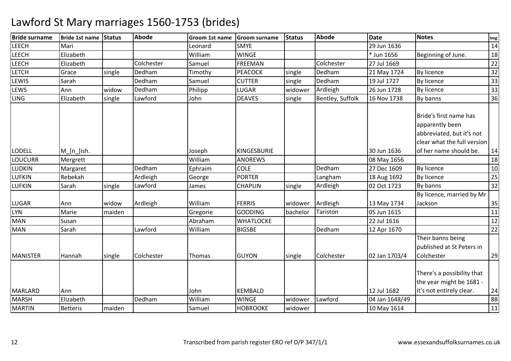| <b>Bride surname</b> | Bride 1st name Status |        | <b>Abode</b> | Groom 1st name | <b>Groom surname</b> | <b>Status</b> | <b>Abode</b>     | <b>Date</b>    | <b>Notes</b>                                                                                          | Img |
|----------------------|-----------------------|--------|--------------|----------------|----------------------|---------------|------------------|----------------|-------------------------------------------------------------------------------------------------------|-----|
| <b>LEECH</b>         | Mari                  |        |              | Leonard        | <b>SMYE</b>          |               |                  | 29 Jun 1636    |                                                                                                       | 14  |
| <b>LEECH</b>         | Elizabeth             |        |              | William        | <b>WINGE</b>         |               |                  | * Jun 1656     | Beginning of June.                                                                                    | 18  |
| LEECH                | Elizabeth             |        | Colchester   | Samuel         | <b>FREEMAN</b>       |               | Colchester       | 27 Jul 1669    |                                                                                                       | 22  |
| <b>LETCH</b>         | Grace                 | single | Dedham       | Timothy        | <b>PEACOCK</b>       | single        | Dedham           | 21 May 1724    | By licence                                                                                            | 32  |
| LEWIS                | Sarah                 |        | Dedham       | Samuel         | <b>CUTTER</b>        | single        | Dedham           | 19 Jul 1727    | By licence                                                                                            | 33  |
| LEWS                 | Ann                   | widow  | Dedham       | Philipp        | LUGAR                | widower       | Ardleigh         | 26 Jun 1728    | By licence                                                                                            | 33  |
| <b>LING</b>          | Elizabeth             | single | Lawford      | John           | <b>DEAVES</b>        | single        | Bentley, Suffolk | 16 Nov 1738    | By banns                                                                                              | 36  |
|                      |                       |        |              |                |                      |               |                  |                | Bride's first name has<br>apparently been<br>abbreviated, but it's not<br>clear what the full version |     |
| <b>LODELL</b>        | $M_{n}$ [n_]ish.      |        |              | Joseph         | <b>KINGESBURIE</b>   |               |                  | 30 Jun 1636    | of her name should be.                                                                                | 14  |
| <b>LOUCURR</b>       | Mergrett              |        |              | William        | <b>ANDREWS</b>       |               |                  | 08 May 1656    |                                                                                                       | 18  |
| <b>LUDKIN</b>        | Margaret              |        | Dedham       | Ephraim        | <b>COLE</b>          |               | Dedham           | 27 Dec 1609    | <b>By licence</b>                                                                                     | 10  |
| <b>LUFKIN</b>        | Rebekah               |        | Ardleigh     | George         | <b>PORTER</b>        |               | Langham          | 18 Aug 1692    | By licence                                                                                            | 25  |
| <b>LUFKIN</b>        | Sarah                 | single | Lawford      | James          | <b>CHAPLIN</b>       | single        | Ardleigh         | 02 Oct 1723    | By banns                                                                                              | 32  |
|                      |                       |        |              |                |                      |               |                  |                | By licence, married by Mr                                                                             |     |
| <b>LUGAR</b>         | Ann                   | widow  | Ardleigh     | William        | <b>FERRIS</b>        | widower       | Ardleigh         | 13 May 1734    | Jackson                                                                                               | 35  |
| <b>LYN</b>           | Marie                 | maiden |              | Gregorie       | <b>GOODING</b>       | bachelor      | Tariston         | 05 Jun 1615    |                                                                                                       | 11  |
| <b>MAN</b>           | Susan                 |        |              | Abraham        | <b>WHATLOCKE</b>     |               |                  | 22 Jul 1616    |                                                                                                       | 12  |
| <b>MAN</b>           | Sarah                 |        | Lawford      | William        | <b>BIGSBE</b>        |               | Dedham           | 12 Apr 1670    |                                                                                                       | 22  |
| <b>MANISTER</b>      | Hannah                | single | Colchester   | Thomas         | <b>GUYON</b>         | single        | Colchester       | 02 Jan 1703/4  | Their banns being<br>published at St Peters in<br>Colchester                                          | 29  |
| <b>MARLARD</b>       | Ann                   |        |              | John           | <b>KEMBALD</b>       |               |                  | 12 Jul 1682    | There's a possibility that<br>the year might be 1681 -<br>it's not entirely clear.                    | 24  |
| <b>MARSH</b>         | Elizabeth             |        | Dedham       | William        | <b>WINGE</b>         | widower       | Lawford          | 04 Jan 1648/49 |                                                                                                       | 88  |
| <b>MARTIN</b>        | <b>Betteris</b>       | maiden |              | Samuel         | <b>HOBROOKE</b>      | widower       |                  | 10 May 1614    |                                                                                                       | 11  |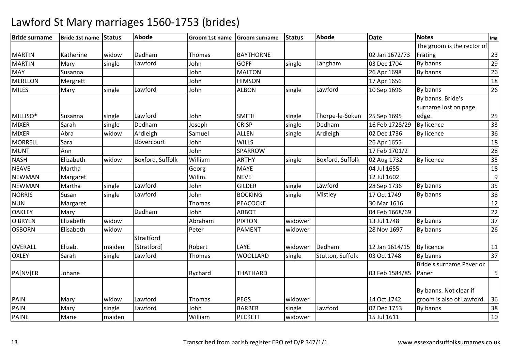| <b>Bride surname</b> | Bride 1st name Status |        | <b>Abode</b>     | <b>Groom 1st name</b> | <b>Groom surname</b> | <b>Status</b> | <b>Abode</b>     | <b>Date</b>    | <b>Notes</b>               | Img            |
|----------------------|-----------------------|--------|------------------|-----------------------|----------------------|---------------|------------------|----------------|----------------------------|----------------|
|                      |                       |        |                  |                       |                      |               |                  |                | The groom is the rector of |                |
| <b>MARTIN</b>        | Katherine             | widow  | Dedham           | Thomas                | <b>BAYTHORNE</b>     |               |                  | 02 Jan 1672/73 | Frating                    | 23             |
| <b>MARTIN</b>        | Mary                  | single | Lawford          | John                  | <b>GOFF</b>          | single        | Langham          | 03 Dec 1704    | By banns                   | 29             |
| <b>MAY</b>           | Susanna               |        |                  | John                  | <b>MALTON</b>        |               |                  | 26 Apr 1698    | By banns                   | 26             |
| <b>MERLLON</b>       | Mergrett              |        |                  | John                  | <b>HIMSON</b>        |               |                  | 17 Apr 1656    |                            | 18             |
| <b>MILES</b>         | Mary                  | single | Lawford          | John                  | <b>ALBON</b>         | single        | Lawford          | 10 Sep 1696    | By banns                   | 26             |
|                      |                       |        |                  |                       |                      |               |                  |                | By banns. Bride's          |                |
|                      |                       |        |                  |                       |                      |               |                  |                | surname lost on page       |                |
| MILLISO*             | <b>Susanna</b>        | single | Lawford          | John                  | <b>SMITH</b>         | single        | Thorpe-le-Soken  | 25 Sep 1695    | edge.                      | 25             |
| <b>MIXER</b>         | Sarah                 | single | Dedham           | Joseph                | <b>CRISP</b>         | single        | Dedham           | 16 Feb 1728/29 | <b>By licence</b>          | 33             |
| <b>MIXER</b>         | Abra                  | widow  | Ardleigh         | Samuel                | <b>ALLEN</b>         | single        | Ardleigh         | 02 Dec 1736    | By licence                 | 36             |
| <b>MORRELL</b>       | Sara                  |        | Dovercourt       | John                  | <b>WILLS</b>         |               |                  | 26 Apr 1655    |                            | 18             |
| <b>MUNT</b>          | Ann                   |        |                  | John                  | SPARROW              |               |                  | 17 Feb 1701/2  |                            | 28             |
| <b>NASH</b>          | Elizabeth             | widow  | Boxford, Suffolk | William               | <b>ARTHY</b>         | single        | Boxford, Suffolk | 02 Aug 1732    | By licence                 | 35             |
| <b>NEAVE</b>         | Martha                |        |                  | Georg                 | <b>MAYE</b>          |               |                  | 04 Jul 1655    |                            | 18             |
| <b>NEWMAN</b>        | Margaret              |        |                  | Willm.                | <b>NEVE</b>          |               |                  | 12 Jul 1602    |                            | $\overline{9}$ |
| <b>NEWMAN</b>        | Martha                | single | Lawford          | John                  | <b>GILDER</b>        | single        | Lawford          | 28 Sep 1736    | By banns                   | 35             |
| <b>NORRIS</b>        | Susan                 | single | Lawford          | John                  | <b>BOCKING</b>       | single        | Mistley          | 17 Oct 1749    | By banns                   | 38             |
| <b>NUN</b>           | Margaret              |        |                  | Thomas                | <b>PEACOCKE</b>      |               |                  | 30 Mar 1616    |                            | 12             |
| <b>OAKLEY</b>        | Mary                  |        | Dedham           | John                  | <b>ABBOT</b>         |               |                  | 04 Feb 1668/69 |                            | 22             |
| O'BRYEN              | Elizabeth             | widow  |                  | Abraham               | <b>PIXTON</b>        | widower       |                  | 13 Jul 1748    | By banns                   | 37             |
| <b>OSBORN</b>        | Elisabeth             | widow  |                  | Peter                 | <b>PAMENT</b>        | widower       |                  | 28 Nov 1697    | By banns                   | 26             |
|                      |                       |        | Straitford       |                       |                      |               |                  |                |                            |                |
| <b>OVERALL</b>       | Elizab.               | maiden | [Stratford]      | Robert                | LAYE                 | widower       | Dedham           | 12 Jan 1614/15 | By licence                 | 11             |
| <b>OXLEY</b>         | Sarah                 | single | Lawford          | Thomas                | WOOLLARD             | single        | Stutton, Suffolk | 03 Oct 1748    | By banns                   | 37             |
|                      |                       |        |                  |                       |                      |               |                  |                | Bride's surname Paver or   |                |
| PA[NV]ER             | Johane                |        |                  | Rychard               | THATHARD             |               |                  | 03 Feb 1584/85 | Paner                      | 5              |
|                      |                       |        |                  |                       |                      |               |                  |                |                            |                |
|                      |                       |        |                  |                       |                      |               |                  |                | By banns. Not clear if     |                |
| PAIN                 | Mary                  | widow  | Lawford          | Thomas                | <b>PEGS</b>          | widower       |                  | 14 Oct 1742    | groom is also of Lawford.  | 36             |
| <b>PAIN</b>          | Mary                  | single | Lawford          | John                  | <b>BARBER</b>        | single        | Lawford          | 02 Dec 1753    | By banns                   | 38             |
| <b>PAINE</b>         | Marie                 | maiden |                  | William               | <b>PECKETT</b>       | widower       |                  | 15 Jul 1611    |                            | 10             |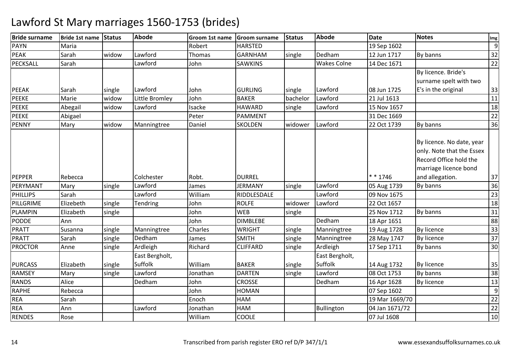| <b>Bride surname</b> | Bride 1st name Status |        | <b>Abode</b>    | Groom 1st name | Groom surname   | <b>Status</b> | <b>Abode</b>       | <b>Date</b>    | <b>Notes</b>                                                                                                                 | Img |
|----------------------|-----------------------|--------|-----------------|----------------|-----------------|---------------|--------------------|----------------|------------------------------------------------------------------------------------------------------------------------------|-----|
| <b>PAYN</b>          | Maria                 |        |                 | Robert         | <b>HARSTED</b>  |               |                    | 19 Sep 1602    |                                                                                                                              | 9   |
| <b>PEAK</b>          | Sarah                 | widow  | Lawford         | Thomas         | <b>GARNHAM</b>  | single        | Dedham             | 12 Jun 1717    | By banns                                                                                                                     | 32  |
| PECKSALL             | Sarah                 |        | Lawford         | John           | <b>SAWKINS</b>  |               | <b>Wakes Colne</b> | 14 Dec 1671    |                                                                                                                              | 22  |
|                      |                       |        |                 |                |                 |               |                    |                | By licence. Bride's                                                                                                          |     |
|                      |                       |        |                 |                |                 |               |                    |                | surname spelt with two                                                                                                       |     |
| <b>PEEAK</b>         | Sarah                 | single | Lawford         | John           | <b>GURLING</b>  | single        | Lawford            | 08 Jun 1725    | E's in the original                                                                                                          | 33  |
| <b>PEEKE</b>         | Marie                 | widow  | Little Bromley  | John           | <b>BAKER</b>    | bachelor      | Lawford            | 21 Jul 1613    |                                                                                                                              | 11  |
| <b>PEEKE</b>         | Abegail               | widow  | Lawford         | Isacke         | <b>HAWARD</b>   | single        | Lawford            | 15 Nov 1657    |                                                                                                                              | 18  |
| <b>PEEKE</b>         | Abigael               |        |                 | Peter          | <b>PAMMENT</b>  |               |                    | 31 Dec 1669    |                                                                                                                              | 22  |
| <b>PENNY</b>         | Mary                  | widow  | Manningtree     | Daniel         | <b>SKOLDEN</b>  | widower       | Lawford            | 22 Oct 1739    | By banns                                                                                                                     | 36  |
| PEPPER               | Rebecca               |        | Colchester      | Robt.          | <b>DURREL</b>   |               |                    | $* * 1746$     | By licence. No date, year<br>only. Note that the Essex<br>Record Office hold the<br>marriage licence bond<br>and allegation. | 37  |
| PERYMANT             | Mary                  | single | Lawford         | James          | <b>JERMANY</b>  | single        | Lawford            | 05 Aug 1739    | By banns                                                                                                                     | 36  |
| <b>PHILLIPS</b>      | Sarah                 |        | Lawford         | William        | RIDDLESDALE     |               | Lawford            | 09 Nov 1675    |                                                                                                                              | 23  |
| PILLGRIME            | Elizebeth             | single | <b>Tendring</b> | John           | <b>ROLFE</b>    | widower       | Lawford            | 22 Oct 1657    |                                                                                                                              | 18  |
| PLAMPIN              | Elizabeth             | single |                 | John           | <b>WEB</b>      | single        |                    | 25 Nov 1712    | By banns                                                                                                                     | 31  |
| <b>PODDE</b>         | Ann                   |        |                 | John           | <b>DIMBLEBE</b> |               | Dedham             | 18 Apr 1651    |                                                                                                                              | 88  |
| <b>PRATT</b>         | Susanna               | single | Manningtree     | Charles        | <b>WRIGHT</b>   | single        | Manningtree        | 19 Aug 1728    | By licence                                                                                                                   | 33  |
| <b>PRATT</b>         | Sarah                 | single | Dedham          | James          | <b>SMITH</b>    | single        | Manningtree        | 28 May 1747    | <b>By licence</b>                                                                                                            | 37  |
| <b>PROCTOR</b>       | Anne                  | single | Ardleigh        | Richard        | <b>CLIFFARD</b> | single        | Ardleigh           | 17 Sep 1711    | By banns                                                                                                                     | 30  |
|                      |                       |        | East Bergholt,  |                |                 |               | East Bergholt,     |                |                                                                                                                              |     |
| <b>PURCASS</b>       | Elizabeth             | single | Suffolk         | William        | <b>BAKER</b>    | single        | Suffolk            | 14 Aug 1732    | By licence                                                                                                                   | 35  |
| <b>RAMSEY</b>        | Mary                  | single | Lawford         | Jonathan       | <b>DARTEN</b>   | single        | Lawford            | 08 Oct 1753    | By banns                                                                                                                     | 38  |
| <b>RANDS</b>         | Alice                 |        | Dedham          | John           | <b>CROSSE</b>   |               | Dedham             | 16 Apr 1628    | <b>By licence</b>                                                                                                            | 13  |
| <b>RAPHE</b>         | Rebecca               |        |                 | John           | HOMAN           |               |                    | 07 Sep 1602    |                                                                                                                              | 9   |
| <b>REA</b>           | Sarah                 |        |                 | Enoch          | <b>HAM</b>      |               |                    | 19 Mar 1669/70 |                                                                                                                              | 22  |
| <b>REA</b>           | Ann                   |        | Lawford         | Jonathan       | HAM             |               | <b>Bullington</b>  | 04 Jan 1671/72 |                                                                                                                              | 22  |
| <b>RENDES</b>        | Rose                  |        |                 | William        | <b>COOLE</b>    |               |                    | 07 Jul 1608    |                                                                                                                              | 10  |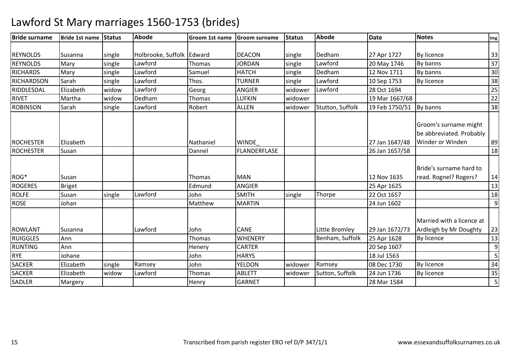| <b>Bride surname</b> | <b>Bride 1st name</b> | Status | <b>Abode</b>              | Groom 1st name | <b>Groom surname</b> | <b>Status</b> | <b>Abode</b>     | <b>Date</b>    | <b>Notes</b>                                                                 | Img              |
|----------------------|-----------------------|--------|---------------------------|----------------|----------------------|---------------|------------------|----------------|------------------------------------------------------------------------------|------------------|
|                      |                       |        |                           |                |                      |               |                  |                |                                                                              |                  |
| <b>REYNOLDS</b>      | Susanna               | single | Holbrooke, Suffolk Edward |                | <b>DEACON</b>        | single        | Dedham           | 27 Apr 1727    | By licence                                                                   | 33               |
| <b>REYNOLDS</b>      | Mary                  | single | Lawford                   | <b>Thomas</b>  | <b>JORDAN</b>        | single        | Lawford          | 20 May 1746    | By banns                                                                     | 37               |
| <b>RICHARDS</b>      | Mary                  | single | Lawford                   | Samuel         | <b>HATCH</b>         | single        | Dedham           | 12 Nov 1711    | By banns                                                                     | 30               |
| RICHARDSON           | Sarah                 | single | Lawford                   | Thos.          | <b>TURNER</b>        | single        | Lawford          | 10 Sep 1753    | By licence                                                                   | 38               |
| RIDDLESDAL           | Elizabeth             | widow  | Lawford                   | Georg          | <b>ANGIER</b>        | widower       | Lawford          | 28 Oct 1694    |                                                                              | 25               |
| <b>RIVET</b>         | Martha                | widow  | Dedham                    | Thomas         | LUFKIN               | widower       |                  | 19 Mar 1667/68 |                                                                              | 22               |
| <b>ROBINSON</b>      | Sarah                 | single | Lawford                   | Robert         | <b>ALLEN</b>         | widower       | Stutton, Suffolk | 19 Feb 1750/51 | By banns                                                                     | 38               |
| <b>ROCHESTER</b>     | Elizabeth             |        |                           | Nathaniel      | <b>WINDE</b>         |               |                  | 27 Jan 1647/48 | Groom's surname might<br>be abbreviated. Probably<br><b>Winder or Winden</b> | 89               |
| <b>ROCHESTER</b>     | Susan                 |        |                           | Dannel         | <b>FLANDERFLASE</b>  |               |                  | 26 Jan 1657/58 |                                                                              | 18               |
| ROG*                 | Susan                 |        |                           | Thomas         | <b>MAN</b>           |               |                  | 12 Nov 1635    | Bride's surname hard to<br>read. Rognel? Rogers?                             | 14               |
| <b>ROGERES</b>       | <b>Briget</b>         |        |                           | Edmund         | ANGIER               |               |                  | 25 Apr 1625    |                                                                              | 13               |
| <b>ROLFE</b>         | Susan                 | single | Lawford                   | John           | <b>SMITH</b>         | single        | Thorpe           | 22 Oct 1657    |                                                                              | 18               |
| <b>ROSE</b>          | Johan                 |        |                           | Matthew        | <b>MARTIN</b>        |               |                  | 24 Jun 1602    |                                                                              | $\boldsymbol{9}$ |
| <b>ROWLANT</b>       | Susanna               |        | Lawford                   | John           | <b>CANE</b>          |               | Little Bromley   | 29 Jan 1672/73 | Married with a licence at<br>Ardleigh by Mr Doughty                          | 23               |
| <b>RUIGGLES</b>      | Ann                   |        |                           | Thomas         | <b>WHENERY</b>       |               | Benham, Suffolk  | 25 Apr 1628    | By licence                                                                   | 13               |
| <b>RUNTING</b>       | Ann                   |        |                           | Henery         | <b>CARTER</b>        |               |                  | 20 Sep 1607    |                                                                              | 9                |
| <b>RYE</b>           | Johane                |        |                           | John           | <b>HARYS</b>         |               |                  | 18 Jul 1563    |                                                                              | 5                |
| <b>SACKER</b>        | Elizabeth             | single | Ramsey                    | John           | YELDON               | widower       | Ramsey           | 08 Dec 1730    | <b>By licence</b>                                                            | 34               |
| <b>SACKER</b>        | Elizabeth             | widow  | Lawford                   | Thomas         | <b>ABLETT</b>        | widower       | Sutton, Suffolk  | 24 Jun 1736    | <b>By licence</b>                                                            | 35               |
| <b>SADLER</b>        | Margery               |        |                           | Henry          | <b>GARNET</b>        |               |                  | 28 Mar 1584    |                                                                              | 5                |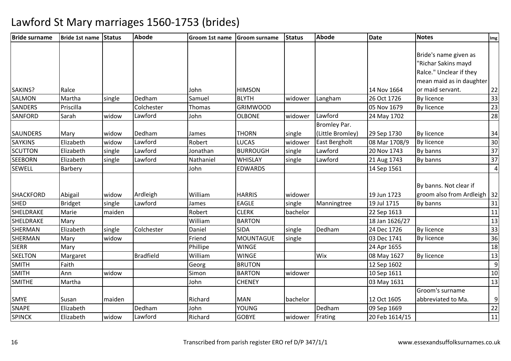| <b>Bride surname</b> | Bride 1st name Status |        | <b>Abode</b>     | Groom 1st name | <b>Groom surname</b> | <b>Status</b> | <b>Abode</b>         | <b>Date</b>    | <b>Notes</b>                  | Img             |
|----------------------|-----------------------|--------|------------------|----------------|----------------------|---------------|----------------------|----------------|-------------------------------|-----------------|
|                      |                       |        |                  |                |                      |               |                      |                |                               |                 |
|                      |                       |        |                  |                |                      |               |                      |                | Bride's name given as         |                 |
|                      |                       |        |                  |                |                      |               |                      |                | "Richar Sakins mayd           |                 |
|                      |                       |        |                  |                |                      |               |                      |                | Ralce." Unclear if they       |                 |
|                      |                       |        |                  |                |                      |               |                      |                | mean maid as in daughter      |                 |
| SAKINS?              | Ralce                 |        |                  | John           | <b>HIMSON</b>        |               |                      | 14 Nov 1664    | or maid servant.              | 22              |
| <b>SALMON</b>        | Martha                | single | Dedham           | Samuel         | <b>BLYTH</b>         | widower       | Langham              | 26 Oct 1726    | By licence                    | 33              |
| <b>SANDERS</b>       | Priscilla             |        | Colchester       | Thomas         | <b>GRIMWOOD</b>      |               |                      | 05 Nov 1679    | By licence                    | 23              |
| SANFORD              | Sarah                 | widow  | Lawford          | John           | <b>OLBONE</b>        | widower       | Lawford              | 24 May 1702    |                               | 28              |
|                      |                       |        |                  |                |                      |               | Bromley Par.         |                |                               |                 |
| <b>SAUNDERS</b>      | Mary                  | widow  | Dedham           | James          | <b>THORN</b>         | single        | (Little Bromley)     | 29 Sep 1730    | By licence                    | 34              |
| <b>SAYKINS</b>       | Elizabeth             | widow  | Lawford          | Robert         | <b>LUCAS</b>         | widower       | <b>East Bergholt</b> | 08 Mar 1708/9  | By licence                    | 30              |
| <b>SCUTTON</b>       | Elizabeth             | single | Lawford          | Jonathan       | <b>BURROUGH</b>      | single        | Lawford              | 20 Nov 1743    | By banns                      | 37              |
| <b>SEEBORN</b>       | Elizabeth             | single | Lawford          | Nathaniel      | <b>WHISLAY</b>       | single        | Lawford              | 21 Aug 1743    | By banns                      | 37              |
| <b>SEWELL</b>        | Barbery               |        |                  | John           | <b>EDWARDS</b>       |               |                      | 14 Sep 1561    |                               | $\overline{4}$  |
|                      |                       |        |                  |                |                      |               |                      |                |                               |                 |
|                      |                       |        |                  |                |                      |               |                      |                | By banns. Not clear if        |                 |
| <b>SHACKFORD</b>     | Abigail               | widow  | Ardleigh         | William        | <b>HARRIS</b>        | widower       |                      | 19 Jun 1723    | groom also from Ardleigh   32 |                 |
| <b>SHED</b>          | <b>Bridget</b>        | single | Lawford          | James          | <b>EAGLE</b>         | single        | Manningtree          | 19 Jul 1715    | By banns                      | 31              |
| <b>SHELDRAKE</b>     | Marie                 | maiden |                  | Robert         | <b>CLERK</b>         | bachelor      |                      | 22 Sep 1613    |                               | 11              |
| SHELDRAKE            | Mary                  |        |                  | William        | <b>BARTON</b>        |               |                      | 18 Jan 1626/27 |                               | 13              |
| <b>SHERMAN</b>       | Elizabeth             | single | Colchester       | Daniel         | <b>SIDA</b>          | single        | Dedham               | 24 Dec 1726    | By licence                    | 33              |
| <b>SHERMAN</b>       | Mary                  | widow  |                  | Friend         | MOUNTAGUE            | single        |                      | 03 Dec 1741    | <b>By licence</b>             | 36              |
| <b>SIERR</b>         | Mary                  |        |                  | Phillipe       | <b>WINGE</b>         |               |                      | 24 Apr 1655    |                               | 18              |
| <b>SKELTON</b>       | Margaret              |        | <b>Bradfield</b> | William        | <b>WINGE</b>         |               | Wix                  | 08 May 1627    | By licence                    | 13              |
| <b>SMITH</b>         | Faith                 |        |                  | Georg          | <b>BRUTON</b>        |               |                      | 12 Sep 1602    |                               | 9               |
| <b>SMITH</b>         | Ann                   | widow  |                  | Simon          | <b>BARTON</b>        | widower       |                      | 10 Sep 1611    |                               | 10              |
| <b>SMITHE</b>        | Martha                |        |                  | John           | <b>CHENEY</b>        |               |                      | 03 May 1631    |                               | 13              |
|                      |                       |        |                  |                |                      |               |                      |                | Groom's surname               |                 |
| <b>SMYE</b>          | Susan                 | maiden |                  | Richard        | <b>MAN</b>           | bachelor      |                      | 12 Oct 1605    | abbreviated to Ma.            | $\overline{9}$  |
| <b>SNAPE</b>         | Elizabeth             |        | Dedham           | John           | <b>YOUNG</b>         |               | Dedham               | 09 Sep 1669    |                               | 22              |
| <b>SPINCK</b>        | Elizabeth             | widow  | Lawford          | Richard        | <b>GOBYE</b>         | widower       | Frating              | 20 Feb 1614/15 |                               | $\overline{11}$ |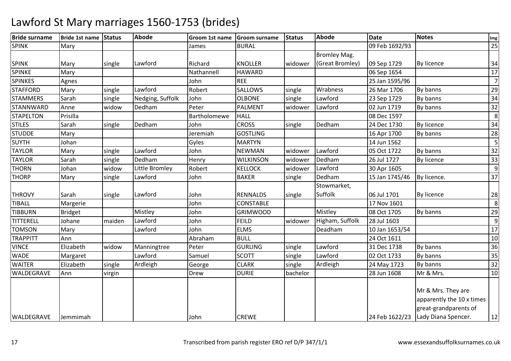| <b>Bride surname</b> | Bride 1st name Status |        | <b>Abode</b>     | Groom 1st name Groom surname |                  | Status   | <b>Abode</b>        | Date           | <b>Notes</b>                       | Img            |
|----------------------|-----------------------|--------|------------------|------------------------------|------------------|----------|---------------------|----------------|------------------------------------|----------------|
| <b>SPINK</b>         | Mary                  |        |                  | James                        | <b>BURAL</b>     |          |                     | 09 Feb 1692/93 |                                    | 25             |
|                      |                       |        |                  |                              |                  |          | <b>Bromley Mag.</b> |                |                                    |                |
| <b>SPINK</b>         | Mary                  | single | Lawford          | Richard                      | <b>KNOLLER</b>   | widower  | (Great Bromley)     | 09 Sep 1729    | By licence                         | 34             |
| SPINKE               | Mary                  |        |                  | Nathannell                   | <b>HAWARD</b>    |          |                     | 06 Sep 1654    |                                    | 17             |
| <b>SPINKES</b>       | Agnes                 |        |                  | John                         | <b>REE</b>       |          |                     | 25 Jan 1595/96 |                                    | $\overline{7}$ |
| <b>STAFFORD</b>      | Mary                  | single | Lawford          | Robert                       | <b>SALLOWS</b>   | single   | Wrabness            | 26 Mar 1706    | By banns                           | 29             |
| <b>STAMMERS</b>      | Sarah                 | single | Nedging, Suffolk | John                         | <b>OLBONE</b>    | single   | Lawford             | 23 Sep 1729    | By banns                           | 34             |
| <b>STANNWARD</b>     | Anne                  | widow  | Dedham           | Peter                        | <b>PALMENT</b>   | widower  | Lawford             | 02 Jun 1719    | By banns                           | 32             |
| <b>STAPELTON</b>     | Prisilla              |        |                  | Bartholomewe                 | <b>HALL</b>      |          |                     | 08 Dec 1597    |                                    | 8              |
| <b>STILES</b>        | Sarah                 | single | Dedham           | John                         | <b>CROSS</b>     | single   | Dedham              | 24 Dec 1730    | <b>By licence</b>                  | 34             |
| <b>STUDDE</b>        | Mary                  |        |                  | Jeremiah                     | <b>GOSTLING</b>  |          |                     | 16 Apr 1700    | By banns                           | 28             |
| <b>SUYTH</b>         | Johan                 |        |                  | Gyles                        | <b>MARTYN</b>    |          |                     | 14 Jun 1562    |                                    | -5             |
| <b>TAYLOR</b>        | Mary                  | single | Lawford          | John                         | <b>NEWMAN</b>    | widower  | Lawford             | 05 Oct 1722    | By banns                           | 32             |
| <b>TAYLOR</b>        | Sarah                 | single | Dedham           | Henry                        | <b>WILKINSON</b> | widower  | Dedham              | 26 Jul 1727    | <b>By licence</b>                  | 33             |
| <b>THORN</b>         | Johan                 | widow  | Little Bromley   | Robert                       | <b>KELLOCK</b>   | widower  | Lawford             | 30 Apr 1605    |                                    | 9              |
| <b>THORP</b>         | Mary                  | single | Lawford          | John                         | <b>BAKER</b>     | single   | Dedham              | 15 Jan 1745/46 | By licence.                        | 37             |
|                      |                       |        |                  |                              |                  |          | Stowmarket,         |                |                                    |                |
| <b>THROVY</b>        | Sarah                 | single | Lawford          | John                         | <b>RENNALDS</b>  | single   | Suffolk             | 06 Jul 1701    | <b>By licence</b>                  | 28             |
| <b>TIBALL</b>        | Margerie              |        |                  | John                         | <b>CONSTABLE</b> |          |                     | 17 Nov 1601    |                                    | 8              |
| <b>TIBBURN</b>       | <b>Bridget</b>        |        | Mistley          | John                         | <b>GRIMWOOD</b>  |          | Mistley             | 08 Oct 1705    | By banns                           | 29             |
| TITTERELL            | Johane                | maiden | Lawford          | John                         | <b>FEILD</b>     | widower  | Higham, Suffolk     | 28 Jul 1603    |                                    | 9              |
| <b>TOMSON</b>        | Mary                  |        | Lawford          | John                         | <b>ELMS</b>      |          | Deadham             | 10 Jan 1653/54 |                                    | 17             |
| <b>TRAPPITT</b>      | Ann                   |        |                  | Abraham                      | <b>BULL</b>      |          |                     | 24 Oct 1611    |                                    | 10             |
| <b>VINCE</b>         | Elizabeth             | widow  | Manningtree      | Peter                        | <b>GURLING</b>   | single   | Lawford             | 31 Dec 1738    | By banns                           | 36             |
| <b>WADE</b>          | Margaret              |        | Lawford          | Samuel                       | <b>SCOTT</b>     | single   | Lawford             | 02 Oct 1733    | By banns                           | 35             |
| <b>WAITER</b>        | Elizabeth             | single | Ardleigh         | George                       | <b>CLARK</b>     | single   | Ardleigh            | 24 May 1723    | By banns                           | 32             |
| WALDEGRAVE           | Ann                   | virgin |                  | Drew                         | <b>DURIE</b>     | bachelor |                     | 28 Jun 1608    | Mr & Mrs.                          | 10             |
|                      |                       |        |                  |                              |                  |          |                     |                |                                    |                |
|                      |                       |        |                  |                              |                  |          |                     |                | Mr & Mrs. They are                 |                |
|                      |                       |        |                  |                              |                  |          |                     |                | apparently the 10 x times          |                |
|                      |                       |        |                  |                              |                  |          |                     |                | great-grandparents of              |                |
| <b>WALDEGRAVE</b>    | Jemmimah              |        |                  | John                         | <b>CREWE</b>     |          |                     |                | 24 Feb 1622/23 Lady Diana Spencer. | 12             |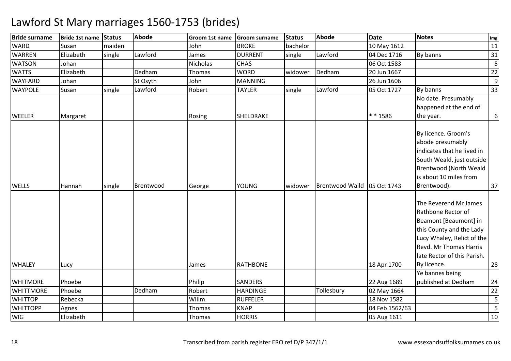| <b>Bride surname</b> | Bride 1st name | <b>Status</b> | <b>Abode</b> | Groom 1st name | <b>Groom surname</b> | <b>Status</b> | <b>Abode</b>           | <b>Date</b>    | <b>Notes</b>                  | Img            |
|----------------------|----------------|---------------|--------------|----------------|----------------------|---------------|------------------------|----------------|-------------------------------|----------------|
| <b>WARD</b>          | Susan          | maiden        |              | John           | <b>BROKE</b>         | bachelor      |                        | 10 May 1612    |                               | 11             |
| <b>WARREN</b>        | Elizabeth      | single        | Lawford      | James          | <b>DURRENT</b>       | single        | Lawford                | 04 Dec 1716    | By banns                      | 31             |
| <b>WATSON</b>        | Johan          |               |              | Nicholas       | <b>CHAS</b>          |               |                        | 06 Oct 1583    |                               | 5              |
| <b>WATTS</b>         | Elizabeth      |               | Dedham       | Thomas         | <b>WORD</b>          | widower       | Dedham                 | 20 Jun 1667    |                               | 22             |
| <b>WAYFARD</b>       | Johan          |               | St Osyth     | John           | <b>MANNING</b>       |               |                        | 26 Jun 1606    |                               | $\overline{9}$ |
| <b>WAYPOLE</b>       | Susan          | single        | Lawford      | Robert         | <b>TAYLER</b>        | single        | Lawford                | 05 Oct 1727    | By banns                      | 33             |
|                      |                |               |              |                |                      |               |                        |                | No date. Presumably           |                |
|                      |                |               |              |                |                      |               |                        |                | happened at the end of        |                |
| <b>WEELER</b>        | Margaret       |               |              | Rosing         | SHELDRAKE            |               |                        | * * 1586       | the year.                     | $6\,$          |
|                      |                |               |              |                |                      |               |                        |                |                               |                |
|                      |                |               |              |                |                      |               |                        |                | By licence. Groom's           |                |
|                      |                |               |              |                |                      |               |                        |                | abode presumably              |                |
|                      |                |               |              |                |                      |               |                        |                | indicates that he lived in    |                |
|                      |                |               |              |                |                      |               |                        |                | South Weald, just outside     |                |
|                      |                |               |              |                |                      |               |                        |                | <b>Brentwood (North Weald</b> |                |
|                      |                |               |              |                |                      |               |                        |                | is about 10 miles from        |                |
| <b>WELLS</b>         | Hannah         | single        | Brentwood    | George         | <b>YOUNG</b>         | widower       | <b>Brentwood Waild</b> | 05 Oct 1743    | Brentwood).                   | 37             |
|                      |                |               |              |                |                      |               |                        |                |                               |                |
|                      |                |               |              |                |                      |               |                        |                | The Reverend Mr James         |                |
|                      |                |               |              |                |                      |               |                        |                | Rathbone Rector of            |                |
|                      |                |               |              |                |                      |               |                        |                | Beamont [Beaumont] in         |                |
|                      |                |               |              |                |                      |               |                        |                | this County and the Lady      |                |
|                      |                |               |              |                |                      |               |                        |                | Lucy Whaley, Relict of the    |                |
|                      |                |               |              |                |                      |               |                        |                | Revd. Mr Thomas Harris        |                |
|                      |                |               |              |                |                      |               |                        |                | late Rector of this Parish.   |                |
| <b>WHALEY</b>        | Lucy           |               |              | James          | <b>RATHBONE</b>      |               |                        | 18 Apr 1700    | By licence.                   | 28             |
|                      |                |               |              |                |                      |               |                        |                | Ye bannes being               |                |
| <b>WHITMORE</b>      | Phoebe         |               |              | Philip         | <b>SANDERS</b>       |               |                        | 22 Aug 1689    | published at Dedham           | 24             |
| <b>WHITTMORE</b>     | Phoebe         |               | Dedham       | Robert         | <b>HARDINGE</b>      |               | Tollesbury             | 02 May 1664    |                               | 22             |
| <b>WHITTOP</b>       | Rebecka        |               |              | Willm.         | <b>RUFFELER</b>      |               |                        | 18 Nov 1582    |                               | $\overline{5}$ |
| <b>WHITTOPP</b>      | Agnes          |               |              | Thomas         | <b>KNAP</b>          |               |                        | 04 Feb 1562/63 |                               | 5              |
| <b>WIG</b>           | Elizabeth      |               |              | Thomas         | <b>HORRIS</b>        |               |                        | 05 Aug 1611    |                               | 10             |
|                      |                |               |              |                |                      |               |                        |                |                               |                |